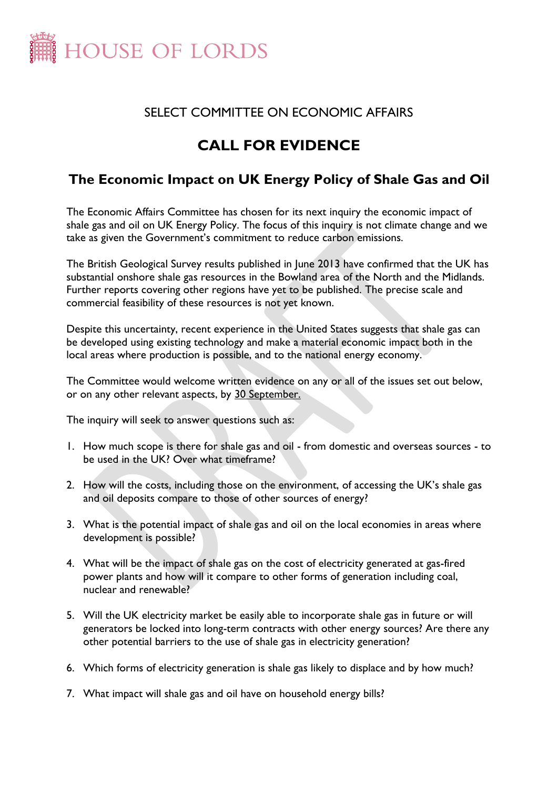

## SELECT COMMITTEE ON ECONOMIC AFFAIRS

## **CALL FOR EVIDENCE**

## **The Economic Impact on UK Energy Policy of Shale Gas and Oil**

The Economic Affairs Committee has chosen for its next inquiry the economic impact of shale gas and oil on UK Energy Policy. The focus of this inquiry is not climate change and we take as given the Government's commitment to reduce carbon emissions.

The British Geological Survey results published in June 2013 have confirmed that the UK has substantial onshore shale gas resources in the Bowland area of the North and the Midlands. Further reports covering other regions have yet to be published. The precise scale and commercial feasibility of these resources is not yet known.

Despite this uncertainty, recent experience in the United States suggests that shale gas can be developed using existing technology and make a material economic impact both in the local areas where production is possible, and to the national energy economy.

The Committee would welcome written evidence on any or all of the issues set out below, or on any other relevant aspects, by 30 September.

The inquiry will seek to answer questions such as:

- 1. How much scope is there for shale gas and oil from domestic and overseas sources to be used in the UK? Over what timeframe?
- 2. How will the costs, including those on the environment, of accessing the UK's shale gas and oil deposits compare to those of other sources of energy?
- 3. What is the potential impact of shale gas and oil on the local economies in areas where development is possible?
- 4. What will be the impact of shale gas on the cost of electricity generated at gas-fired power plants and how will it compare to other forms of generation including coal, nuclear and renewable?
- 5. Will the UK electricity market be easily able to incorporate shale gas in future or will generators be locked into long-term contracts with other energy sources? Are there any other potential barriers to the use of shale gas in electricity generation?
- 6. Which forms of electricity generation is shale gas likely to displace and by how much?
- 7. What impact will shale gas and oil have on household energy bills?